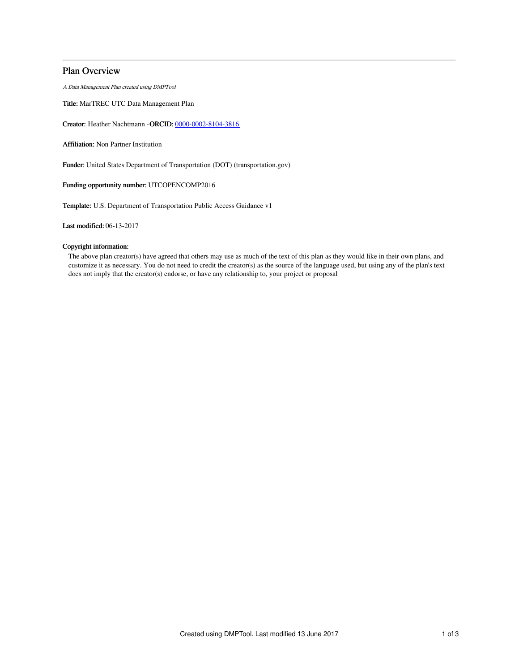# Plan Overview

A Data Management Plan created using DMPTool

Title: MarTREC UTC Data Management Plan

Creator: Heather Nachtmann -ORCID: [0000-0002-8104-3816](https://orcid.org/0000-0002-8104-3816)

Affiliation: Non Partner Institution

Funder: United States Department of Transportation (DOT) (transportation.gov)

Funding opportunity number: UTCOPENCOMP2016

Template: U.S. Department of Transportation Public Access Guidance v1

Last modified: 06-13-2017

## Copyright information:

The above plan creator(s) have agreed that others may use as much of the text of this plan as they would like in their own plans, and customize it as necessary. You do not need to credit the creator(s) as the source of the language used, but using any of the plan's text does not imply that the creator(s) endorse, or have any relationship to, your project or proposal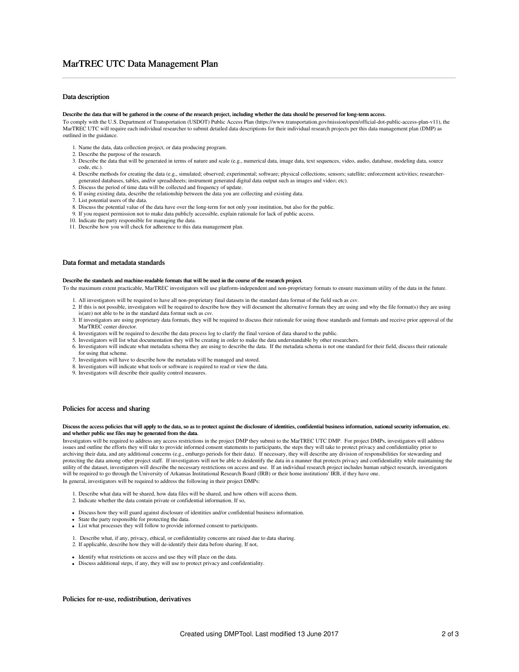# MarTREC UTC Data Management Plan

## Data description

#### Describe the data that will be gathered in the course of the research project, including whether the data should be preserved for long-term access.

To comply with the U.S. Department of Transportation (USDOT) Public Access Plan (https://www.transportation.gov/mission/open/official-dot-public-access-plan-v11), the MarTREC UTC will require each individual researcher to submit detailed data descriptions for their individual research projects per this data management plan (DMP) as outlined in the guidance.

- 1. Name the data, data collection project, or data producing program.
- 2. Describe the purpose of the research.
- 3. Describe the data that will be generated in terms of nature and scale (e.g., numerical data, image data, text sequences, video, audio, database, modeling data, source code, etc.).
- 4. Describe methods for creating the data (e.g., simulated; observed; experimental; software; physical collections; sensors; satellite; enforcement activities; researchergenerated databases, tables, and/or spreadsheets; instrument generated digital data output such as images and video; etc).
- 5. Discuss the period of time data will be collected and frequency of update.
- 6. If using existing data, describe the relationship between the data you are collecting and existing data.
- 7. List potential users of the data.
- 8. Discuss the potential value of the data have over the long-term for not only your institution, but also for the public.
- 9. If you request permission not to make data publicly accessible, explain rationale for lack of public access.
- 10. Indicate the party responsible for managing the data.
- 11. Describe how you will check for adherence to this data management plan.

## Data format and metadata standards

## Describe the standards and machine-readable formats that will be used in the course of the research project.

To the maximum extent practicable, MarTREC investigators will use platform-independent and non-proprietary formats to ensure maximum utility of the data in the future.

- 1. All investigators will be required to have all non-proprietary final datasets in the standard data format of the field such as csv.
- 2. If this is not possible, investigators will be required to describe how they will document the alternative formats they are using and why the file format(s) they are using is(are) not able to be in the standard data format such as csv.
- 3. If investigators are using proprietary data formats, they will be required to discuss their rationale for using those standards and formats and receive prior approval of the MarTREC center director
- 4. Investigators will be required to describe the data process log to clarify the final version of data shared to the public.
- 5. Investigators will list what documentation they will be creating in order to make the data understandable by other researchers.
- 6. Investigators will indicate what metadata schema they are using to describe the data. If the metadata schema is not one standard for their field, discuss their rationale
- for using that scheme. 7. Investigators will have to describe how the metadata will be managed and stored.
- 8. Investigators will indicate what tools or software is required to read or view the data.
- 9. Investigators will describe their quality control measures.

#### Policies for access and sharing

### Discuss the access policies that will apply to the data, so as to protect against the disclosure of identities, confidential business information, national security information, etc. and whether public use files may be generated from the data.

Investigators will be required to address any access restrictions in the project DMP they submit to the MarTREC UTC DMP. For project DMPs, investigators will address issues and outline the efforts they will take to provide informed consent statements to participants, the steps they will take to protect privacy and confidentiality prior to archiving their data, and any additional concerns (e.g., embargo periods for their data). If necessary, they will describe any division of responsibilities for stewarding and protecting the data among other project staff. If investigators will not be able to deidentify the data in a manner that protects privacy and confidentiality while maintaining the utility of the dataset, investigators will describe the necessary restrictions on access and use. If an individual research project includes human subject research, investigators will be required to go through the University of Arkansas Institutional Research Board (IRB) or their home institutions' IRB, if they have one. In general, investigators will be required to address the following in their project DMPs:

1. Describe what data will be shared, how data files will be shared, and how others will access them.

- 2. Indicate whether the data contain private or confidential information. If so,
- Discuss how they will guard against disclosure of identities and/or confidential business information.
- State the party responsible for protecting the data.
- List what processes they will follow to provide informed consent to participants.
- 1. Describe what, if any, privacy, ethical, or confidentiality concerns are raised due to data sharing.
- 2. If applicable, describe how they will de-identify their data before sharing. If not,
- Identify what restrictions on access and use they will place on the data.
- Discuss additional steps, if any, they will use to protect privacy and confidentiality.

## Policies for re-use, redistribution, derivatives